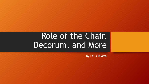# Role of the Chair, Decorum, and More

By Felix Rivera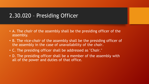### 2.30.020 – Presiding Officer

- A. The *chair* of the assembly shall be the presiding officer of the assembly.
- B. The vice-*chair* of the assembly shall be the presiding officer of the assembly in the case of unavailability of the *chair*.
- C. The presiding officer shall be addressed as "*Chair*."
- D. The presiding officer shall be a member of the assembly with all of the power and duties of that office.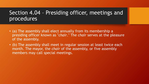#### Section 4.04 – Presiding officer, meetings and procedures

- (a) The assembly shall elect annually from its membership a presiding officer known as "*chair*." The *chair* serves at the pleasure of the assembly.
- (b) The assembly shall meet in regular session at least twice each month. The mayor, the *chair* of the assembly, or five assembly members may call special meetings.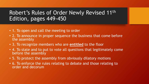## Robert's Rules of Order Newly Revised 11th Edition, pages 449-450

- 1. To open and call the meeting to order
- 2. To announce in proper sequence the business that come before the assembly
- 3. To recognize members who are **entitled** to the floor
- 4. To state and to put to vote all questions that legitimately come before the assembly
- 5. To protect the assembly from obviously dilatory motions
- 6. To enforce the rules relating to debate and those relating to order and decorum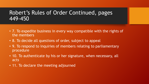#### Robert's Rules of Order Continued, pages 449-450

- 7. To expedite business in every way compatible with the rights of the members
- 8. To decide all questions of order, subject to appeal
- 9. To respond to inquiries of members relating to parliamentary procedure
- 10. To authenticate by his or her signature, when necessary, all acts
- 11. To declare the meeting adjourned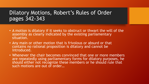#### Dilatory Motions, Robert's Rules of Order pages 342-343

- A motion is dilatory if it seeks to obstruct or thwart the will of the assembly as clearly indicated by the existing parliamentary situation.
- Any main or other motion that is frivolous or absurd or that contains no rational proposition is dilatory and cannot be introduced.
- Whenever the chair becomes convinced that one or more members are repeatedly using parliamentary forms for dilatory purposes, he should either not recognize these members or he should rule that such motions are out of order…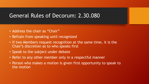#### General Rules of Decorum: 2.30.080

- Address the chair as "Chair"
- Refrain from speaking until recognized
- If two Members request recognition at the same time, it is the Chair's discretion as to who speaks first
- Speak to the subject under debate
- Refer to any other member only in a respectful manner
- Person who makes a motion is given first opportunity to speak to the motion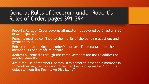## General Rules of Decorum under Robert's Rules of Order, pages 391-394

- Robert's Rules of Order governs all matter not covered by Chapter 2.30 of Municipal Code
- Remarks must be confined to the merits of the pending question, and germane to it.
- Refrain from attacking a member's motives. The measure, not the member, is the subject of debate.
- Address all remarks through the chair. Members are not to address on another directly.
- Avoid the use of members' names. It is better to describe a member in some other way, as by saying, "the member who spoke last" or, "the delegate from the Downtown District 1."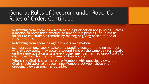### General Rules of Decorum under Robert's Rules of Order, Continued

- Refraining from speaking adversely on a prior action not pending, unless a motion to reconsider, rescind, or amend it is pending, or unless he intents to conclude his remarks by making or giving notice of one of these motions.
- Refraining from speaking against one's own motion.
- Members can only speak twice on a pending question, and no member who already spoke may speak a second time on the same day for debate on the same question unless every other member has had opportunity to claim the floor for the first time or does not claim it.
- Where the Chair knows there are Members with opposing views, the Chair should alternate recognizing Members between those with opposing views as much as possible.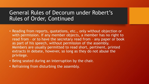#### General Rules of Decorum under Robert's Rules of Order, Continued

- Reading from reports, quotations, etc., only without objection or with permission. If any member objects, a member has no right to read from – or to have the secretary read from – any paper or book as part of his speech, without permission of the assembly. Members are usually permitted to read short, pertinent, printed extracts in debate, however, so long as they do not abuse the privilege.
- Being seated during an interruption by the chair.
- Refraining from disturbing the assembly.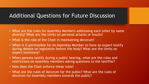#### Additional Questions for Future Discussion

- What are the rules for Assembly Members addressing each other by name directly? What are the limits on personal attacks or insults?
- What is the role of the Chair in maintaining decorum?
- When is it permissible for an Assembly Member to have an expert testify during debate on legislation before the body? What are the limits on expert testimony?
- When persons testify during a public hearing, what are the rules and restrictions on Assembly members asking questions to the testifier?
- How does the Chair enforce these rules?
- What are the rules of decorum for the public? What are the rules of decorum for Assembly members towards the public?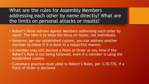What are the rules for Assembly Members addressing each other by name directly? What are the limits on personal attacks or insults?

- Robert's Rules advises against Members addressing each other by name. The idea is to keep the focus on issues, not individuals.
- However, per our established custom, you can address another member by name if it is done in a respectful manner.
- A member may still declare a Point of Order at any time if the Robert's Rule is not being followed, even if a member is using the established custom
- Customary practice must yield to Robert's Rules, per 3.70.770, if a Point of Order is declared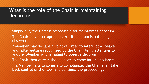#### What is the role of the Chair in maintaining decorum?

- Simply put, the Chair is responsible for maintaining decorum
- The Chair may interrupt a speaker if decorum is not being observed
- A Member may declare a Point of Order to interrupt a speaker and, after getting recognized by the Chair, bring attention to another Member who is failing to observe decorum
- The Chair then directs the member to come into compliance
- If a Member fails to come into compliance, the Chair shall take back control of the floor and continue the proceedings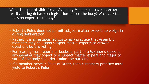When is it permissible for an Assembly Member to have an expert testify during debate on legislation before the body? What are the limits on expert testimony?

- Robert's Rules does not permit subject matter experts to weigh in during deliberation
- Rather, it is an established customary practice that Assembly members may call upon subject matter experts to answer questions before voting
- For reading from reports or books as part of a Member's speech, any Member may object to a subject matter expert and majority vote of the body shall determine the outcome
- If a member raises a Point of Order, then customary practice must yield to Robert's Rules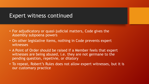#### Expert witness continued

- For adjudicatory or quasi-judicial matters, Code gives the Assembly subpoena powers
- On other legislative items, nothing in Code prevents expert witnesses
- A Point of Order should be raised if a Member feels that expert witnesses are being abused, i.e. they are not germane to the pending question, repetivie, or dilatory
- To repeat, Robert's Rules does not allow expert witnesses, but it is our customary practice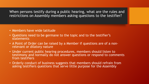When persons testify during a public hearing, what are the rules and restrictions on Assembly members asking questions to the testifier?

- Members have wide latitude
- Questions need to be germane to the topic and to the testifier's statements
- A Point of Order can be raised by a Member if questions are of a non- relevant or dilatory nature
- Under current public hearing procedures, members should listen to testimony and normally do not answer questions or respond to comments from testifiers
- Orderly conduct of business suggests that members should refrain from asking testifiers questions that serve little purpose for the Assembly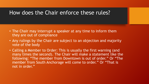#### How does the Chair enforce these rules?

- The Chair may interrupt a speaker at any time to inform them they are out of compliance
- Any rulings by the Chair are subject to an objection and majority vote of the body
- Calling a Member to Order: This is usually the first warning (and many times the second). The Chair will make a statement like the following: "The member from Downtown is out of order." Or "The member from South Anchorage will come to order." Or "That is not in order."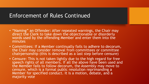#### Enforcement of Rules Continued

- "Naming" an Offender: After repeated warnings, the Chair may direct the Clerk to take down the objectionable or disorderly words used by the offending Member and enter them into the minutes
- Committees: If a Member continually fails to adhere to decorum, the Chair may consider removal from committees or committee chairpersonship (this is described as a last step before censure)
- Censure: This is not taken lightly due to the high regard for free speech rights of all members. If all the above have been used and the Member fails to follow decorum, the Assembly may move to censure, which is a formal public resolution reprimanding a Member for specified conduct. It is a motion, debate, and a majority vote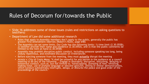#### Rules of Decorum for/towards the Public

• Slide 16 addresses some of these issues (rules and restrictions on asking questions to testifiers)

#### • Department of Law did some additional research

- Rules that apply to Assembly members don't apply to the public, generally the public has greater First Amendment liberties (Robert's Rules, page 648)
- The Assembly can set some limits. Our Code has the following limits: 1) time limit (2.30.055B), 2) testifier provide their name and residence (2.30.055A), and 3) that the public comments be limited to the item at hand (2.30.055B)
- Assembly may prohibit disruptive public conduct, including someone speaking too long, being unduly répetitious, and extended discussion on irrelevancies
- Before ejecting someone from the meeting, they must *actually* disrupt the meeting
- *Acosta v. City of Costa Mesa*: "It shall be unlawful for any person in the audience at a council meeting to do any of the following … Engage in disorderly, disruptive, disturbing, delaying or boisterous conduct, such as, but not limited to, handclapping, stomping of feet, whistling, making noise, use of profane language or obscene gestures, yelling or similar demonstrations, which conduct substantially *interrupts, delays, or disturbs* the peace and good order of the<br>proceedings of the council."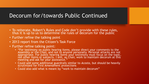#### Decorum for/towards Public Continued

- To reiterate, Robert's Rules and Code don't provide with these rules, thus it is up to us to determine the rules of decorum for the public
- Further refine the talking point
- 2013 report from the Citizen's Task Force
- Further refine talking point:
	- "For testimony on public hearing items, please direct your comments to the Assembly or the Chair, and not to anyone personally. Personal attacks are not appropriate. For public hearing items your testimony must focus on the topic, not other items or subjects. I will, as Chair, work to maintain decorum at this meeting and ask for your assistance."
	- Could add some additional guardrails similar to *Acosta*, but should be heavily scrutinized for First Amendment protections
	- Could also add what is meant by "work to maintain decorum"